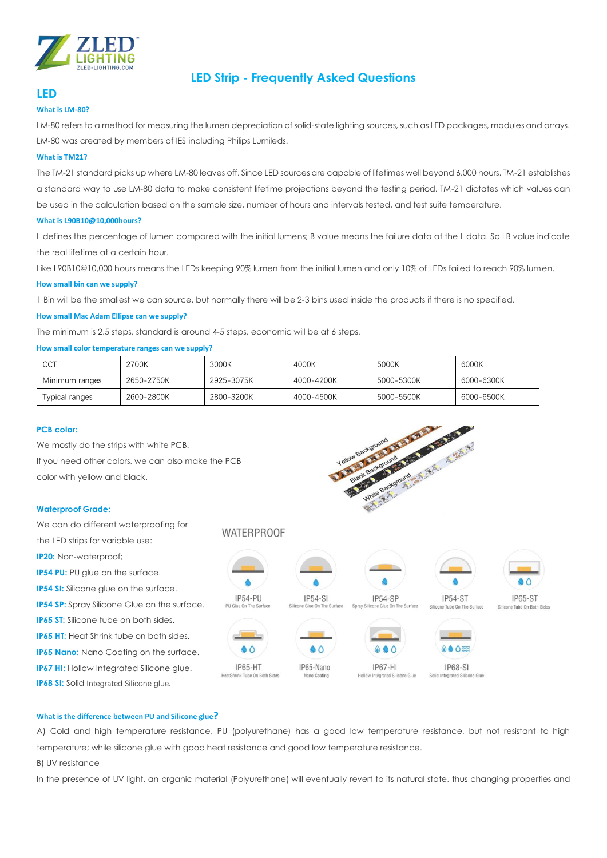

## **LED Strip - Frequently Asked Questions**

## **LED**

## **What is LM-80?**

LM-80 refers to a method for measuring the lumen depreciation of solid-state lighting sources, such as LED packages, modules and arrays. LM-80 was created by members of IES including Philips Lumileds.

## **What is TM21?**

The TM-21 standard picks up where LM-80 leaves off. Since LED sources are capable of lifetimes well beyond 6,000 hours, TM-21 establishes a standard way to use LM-80 data to make consistent lifetime projections beyond the testing period. TM-21 dictates which values can be used in the calculation based on the sample size, number of hours and intervals tested, and test suite temperature.

## **What is L90B10@10,000hours?**

L defines the percentage of lumen compared with the initial lumens; B value means the failure data at the L data. So LB value indicate the real lifetime at a certain hour.

Like L90B10@10,000 hours means the LEDs keeping 90% lumen from the initial lumen and only 10% of LEDs failed to reach 90% lumen.

## **How small bin can we supply?**

1 Bin will be the smallest we can source, but normally there will be 2-3 bins used inside the products if there is no specified.

## **How small Mac Adam Ellipse can we supply?**

The minimum is 2.5 steps, standard is around 4-5 steps, economic will be at 6 steps.

## **How small color temperature ranges can we supply?**

| <b>CCT</b>                                         | 2700K      | 3000K      | 4000K             | 5000K                    | 6000K      |  |
|----------------------------------------------------|------------|------------|-------------------|--------------------------|------------|--|
| Minimum ranges                                     | 2650-2750K | 2925-3075K | 4000-4200K        | 5000-5300K               | 6000-6300K |  |
| Typical ranges                                     | 2600-2800K | 2800-3200K | 4000-4500K        | 5000-5500K               | 6000-6500K |  |
|                                                    |            |            |                   |                          |            |  |
| <b>PCB color:</b>                                  |            |            |                   |                          |            |  |
| We mostly do the strips with white PCB.            |            |            | Yellow Background |                          |            |  |
| If you need other colors, we can also make the PCB |            |            | Support of        |                          |            |  |
| color with yellow and black.                       |            |            |                   | Background<br>$9f_{int}$ |            |  |

## **PCB color:**

## **Waterproof Grade:**

We can do different waterproofing for **WATERPROOF** the LED strips for variable use: **IP20:** Non-waterproof; **IP54 PU:** PU glue on the surface. **IP54 SI:** Silicone glue on the surface.  $IP54-PU$  $IP54-SI$ **IP54-ST IP65-ST IP54-SF IP54 SP:** Spray Silicone Glue on the surface. **IP65 ST:** Silicone tube on both sides. **IP65 HT:** Heat Shrink tube on both sides.  $\triangle$   $\triangle$  $\bullet$   $\circ$  $\bullet \bullet \bullet$  $0000$ **IP65 Nano:** Nano Coating on the surface. IP65-HT IP65-Nano **IP67-HI IP68-SI IP67 HI:** Hollow Integrated Silicone glue. Solid Integrated Silicone Glu HeatShrink Tube On Both Sides Nano Coatino ne Glue **IP68 SI:** Solid Integrated Silicone glue.

#### **What is the difference between PU and Silicone glue?**

A) Cold and high temperature resistance, PU (polyurethane) has a good low temperature resistance, but not resistant to high temperature; while silicone glue with good heat resistance and good low temperature resistance.

B) UV resistance

In the presence of UV light, an organic material (Polyurethane) will eventually revert to its natural state, thus changing properties and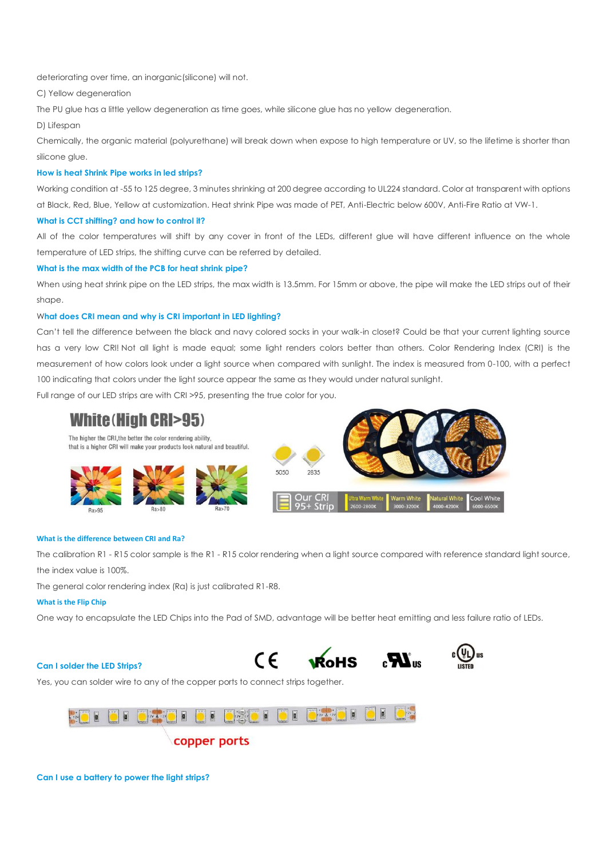deteriorating over time, an inorganic(silicone) will not.

C) Yellow degeneration

The PU glue has a little yellow degeneration as time goes, while silicone glue has no yellow degeneration.

D) Lifespan

Chemically, the organic material (polyurethane) will break down when expose to high temperature or UV, so the lifetime is shorter than silicone glue.

## **How is heat Shrink Pipe works in led strips?**

Working condition at -55 to 125 degree, 3 minutes shrinking at 200 degree according to UL224 standard. Color at transparent with options at Black, Red, Blue, Yellow at customization. Heat shrink Pipe was made of PET, Anti-Electric below 600V, Anti-Fire Ratio at VW-1.

## **What is CCT shifting? and how to control it?**

All of the color temperatures will shift by any cover in front of the LEDs, different glue will have different influence on the whole temperature of LED strips, the shifting curve can be referred by detailed.

## **What is the max width of the PCB for heat shrink pipe?**

When using heat shrink pipe on the LED strips, the max width is 13.5mm. For 15mm or above, the pipe will make the LED strips out of their shape.

## W**hat does CRI mean and why is CRI important in LED lighting?**

Can't tell the difference between the black and navy colored socks in your walk-in closet? Could be that your current lighting source has a very low CRI! Not all light is made equal; some light renders colors better than others. Color Rendering Index (CRI) is the measurement of how colors look under a light source when compared with sunlight. The index is measured from 0-100, with a perfect 100 indicating that colors under the light source appear the same as they would under natural sunlight.

Full range of our LED strips are with CRI >95, presenting the true color for you.

# **White (High CRI>95)**

The higher the CRI, the better the color rendering ability, that is a higher CRI will make your products look natural and beautiful. 5050 2835

#### **What is the difference between CRI and Ra?**

The calibration R1 - R15 color sample is the R1 - R15 color rendering when a light source compared with reference standard light source, the index value is 100%.

The general color rendering index (Ra) is just calibrated R1-R8.

## **What is the Flip Chip**

One way to encapsulate the LED Chips into the Pad of SMD, advantage will be better heat emitting and less failure ratio of LEDs.

#### **Can I solder the LED Strips?**







Yes, you can solder wire to any of the copper ports to connect strips together.

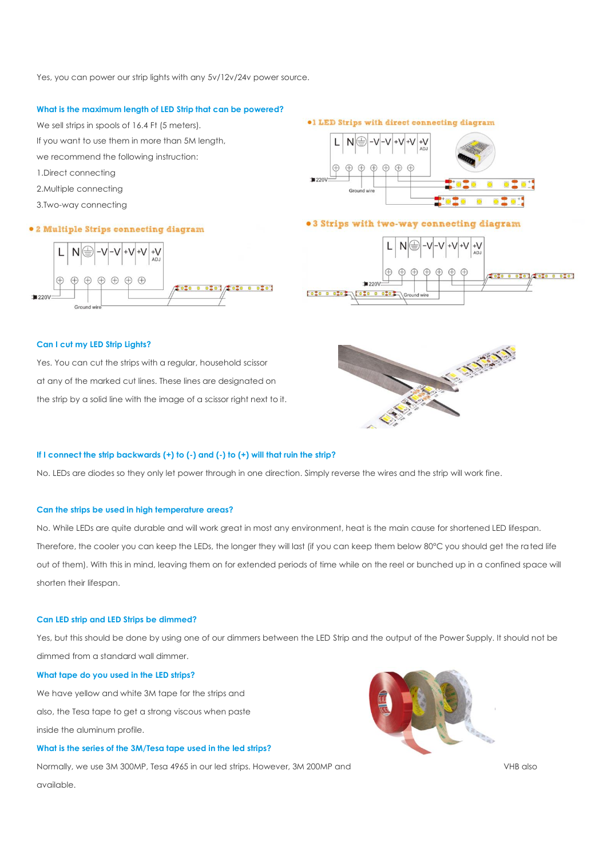Yes, you can power our strip lights with any 5v/12v/24v power source.

## **What is the maximum length of LED Strip that can be powered?**

We sell strips in spools of 16.4 Ft (5 meters).

- If you want to use them in more than 5M length,
- we recommend the following instruction:
- 1.Direct connecting
- 2.Multiple connecting
- 3.Two-way connecting

## · 2 Multiple Strips connecting diagram



#### **.1 LED Strips with direct connecting diagram**



## .3 Strips with two-way connecting diagram



## **Can I cut my LED Strip Lights?**

Yes. You can cut the strips with a regular, household scissor at any of the marked cut lines. These lines are designated on the strip by a solid line with the image of a scissor right next to it.



#### **If I connect the strip backwards (+) to (-) and (-) to (+) will that ruin the strip?**

No. LEDs are diodes so they only let power through in one direction. Simply reverse the wires and the strip will work fine.

#### **Can the strips be used in high temperature areas?**

No. While LEDs are quite durable and will work great in most any environment, heat is the main cause for shortened LED lifespan. Therefore, the cooler you can keep the LEDs, the longer they will last (if you can keep them below 80°C you should get the rated life out of them). With this in mind, leaving them on for extended periods of time while on the reel or bunched up in a confined space will shorten their lifespan.

## **Can LED strip and LED Strips be dimmed?**

Yes, but this should be done by using one of our dimmers between the LED Strip and the output of the Power Supply. It should not be dimmed from a standard wall dimmer.

## **What tape do you used in the LED strips?**

We have yellow and white 3M tape for the strips and also, the Tesa tape to get a strong viscous when paste inside the aluminum profile.

## **What is the series of the 3M/Tesa tape used in the led strips?**

Normally, we use 3M 300MP, Tesa 4965 in our led strips. However, 3M 200MP and VHB also available.

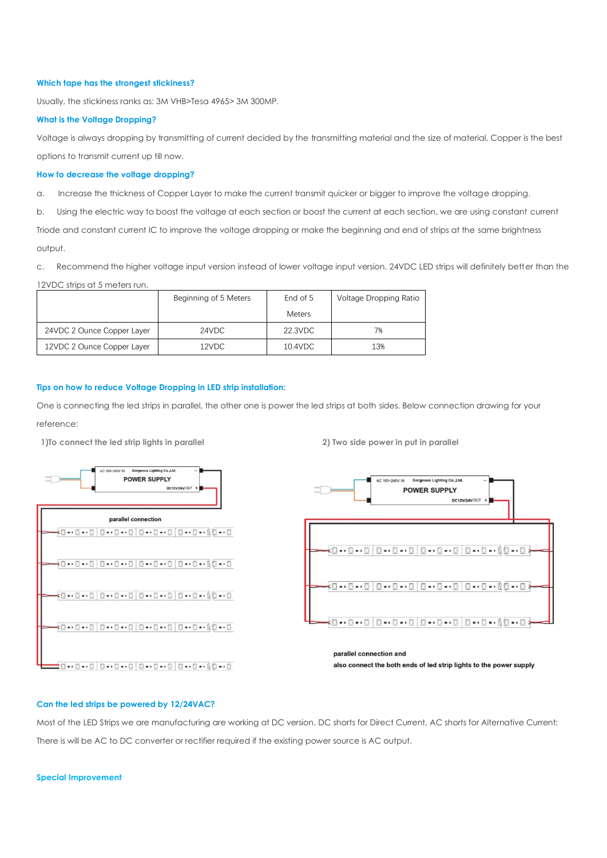#### **Which tape has the strongest stickiness?**

Usually, the stickiness ranks as: 3M VHB>Tesa 4965> 3M 300MP.

#### **What is the Voltage Dropping?**

Voltage is always dropping by transmitting of current decided by the transmitting material and the size of material, Copper is the best options to transmit current up till now.

## **How to decrease the voltage dropping?**

a. Increase the thickness of Copper Layer to make the current transmit quicker or bigger to improve the voltage dropping.

b. Using the electric way to boost the voltage at each section or boost the current at each section, we are using constant current

Triode and constant current IC to improve the voltage dropping or make the beginning and end of strips at the same brightness output.

c. Recommend the higher voltage input version instead of lower voltage input version. 24VDC LED strips will definitely better than the

#### 12VDC strips at 5 meters run.

|                            | Beginning of 5 Meters | End of 5      | Voltage Dropping Ratio |
|----------------------------|-----------------------|---------------|------------------------|
|                            |                       | <b>Meters</b> |                        |
| 24VDC 2 Ounce Copper Layer | 24VDC                 | 22.3VDC       | 7%                     |
| 12VDC 2 Ounce Copper Layer | 12VDC                 | 10.4VDC       | 13%                    |

#### **Tips on how to reduce Voltage Dropping in LED strip installation:**

One is connecting the led strips in parallel, the other one is power the led strips at both sides. Below connection drawing for your reference:

**1)To connect the led strip lights in parallel 2) Two side power in put in parallel** 



10.0.000000000000000000000000

also connect the both ends of led strip lights to the power supply

#### **Can the led strips be powered by 12/24VAC?**

Most of the LED Strips we are manufacturing are working at DC version, DC shorts for Direct Current, AC shorts for Alternative Current; There is will be AC to DC converter or rectifier required if the existing power source is AC output.

#### **Special Improvement**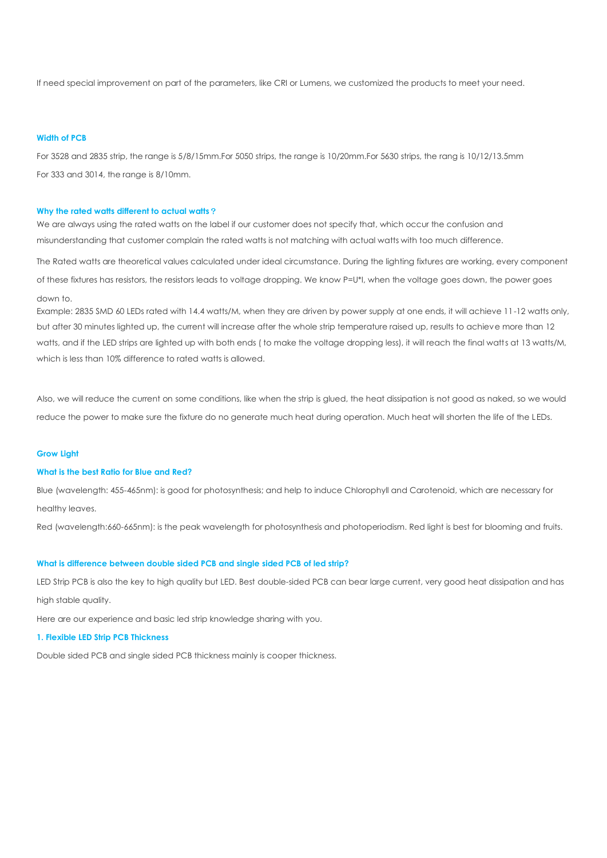If need special improvement on part of the parameters, like CRI or Lumens, we customized the products to meet your need.

#### **Width of PCB**

For 3528 and 2835 strip, the range is 5/8/15mm.For 5050 strips, the range is 10/20mm.For 5630 strips, the rang is 10/12/13.5mm For 333 and 3014, the range is 8/10mm.

#### **Why the rated watts different to actual watts**?

We are always using the rated watts on the label if our customer does not specify that, which occur the confusion and misunderstanding that customer complain the rated watts is not matching with actual watts with too much difference.

The Rated watts are theoretical values calculated under ideal circumstance. During the lighting fixtures are working, every component of these fixtures has resistors, the resistors leads to voltage dropping. We know P=U\*I, when the voltage goes down, the power goes down to.

Example: 2835 SMD 60 LEDs rated with 14.4 watts/M, when they are driven by power supply at one ends, it will achieve 11-12 watts only, but after 30 minutes lighted up, the current will increase after the whole strip temperature raised up, results to achieve more than 12 watts, and if the LED strips are lighted up with both ends ( to make the voltage dropping less), it will reach the final watts at 13 watts/M, which is less than 10% difference to rated watts is allowed.

Also, we will reduce the current on some conditions, like when the strip is glued, the heat dissipation is not good as naked, so we would reduce the power to make sure the fixture do no generate much heat during operation. Much heat will shorten the life of the LEDs.

#### **Grow Light**

#### **What is the best Ratio for Blue and Red?**

Blue (wavelength: 455-465nm): is good for photosynthesis; and help to induce Chlorophyll and Carotenoid, which are necessary for healthy leaves.

Red (wavelength:660-665nm): is the peak wavelength for photosynthesis and photoperiodism. Red light is best for blooming and fruits.

## **What is difference between double sided PCB and single sided PCB of led strip?**

LED Strip PCB is also the key to high quality but LED. Best double-sided PCB can bear large current, very good heat dissipation and has high stable quality.

Here are our experience and basic led strip knowledge sharing with you.

#### **1. Flexible LED Strip PCB Thickness**

Double sided PCB and single sided PCB thickness mainly is cooper thickness.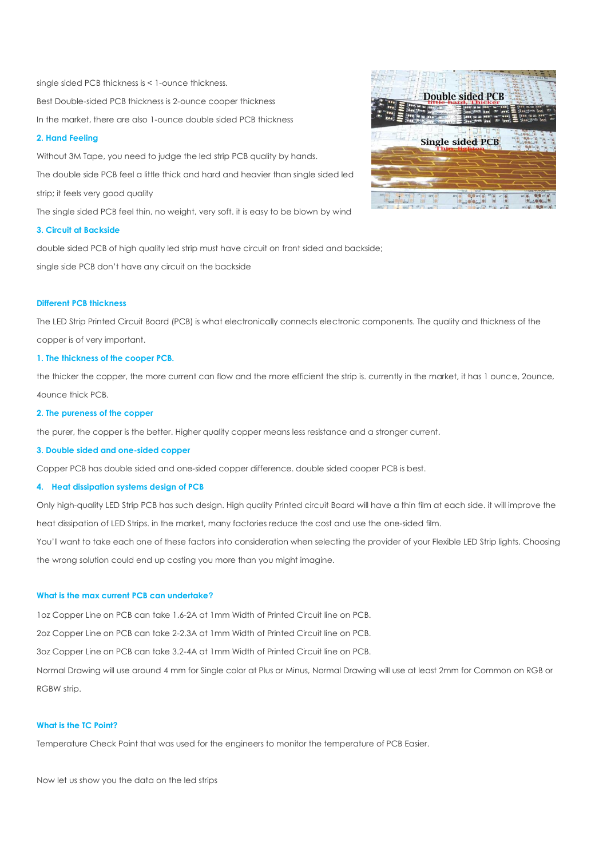single sided PCB thickness is < 1-ounce thickness. Best Double-sided PCB thickness is 2-ounce cooper thickness In the market, there are also 1-ounce double sided PCB thickness

## **2. Hand Feeling**

Without 3M Tape, you need to judge the led strip PCB quality by hands. The double side PCB feel a little thick and hard and heavier than single sided led strip; it feels very good quality The single sided PCB feel thin, no weight, very soft. it is easy to be blown by wind

**3. Circuit at Backside** 

double sided PCB of high quality led strip must have circuit on front sided and backside; single side PCB don't have any circuit on the backside

#### **Different PCB thickness**

The LED Strip Printed Circuit Board (PCB) is what electronically connects electronic components. The quality and thickness of the copper is of very important.

#### **1. The thickness of the cooper PCB.**

the thicker the copper, the more current can flow and the more efficient the strip is. currently in the market, it has 1 ounce, 2ounce, 4ounce thick PCB.

#### **2. The pureness of the copper**

the purer, the copper is the better. Higher quality copper means less resistance and a stronger current.

#### **3. Double sided and one-sided copper**

Copper PCB has double sided and one-sided copper difference. double sided cooper PCB is best.

## **4. Heat dissipation systems design of PCB**

Only high-quality LED Strip PCB has such design. High quality Printed circuit Board will have a thin film at each side. it will improve the heat dissipation of LED Strips. in the market, many factories reduce the cost and use the one-sided film.

You'll want to take each one of these factors into consideration when selecting the provider of your Flexible LED Strip lights. Choosing the wrong solution could end up costing you more than you might imagine.

#### **What is the max current PCB can undertake?**

1oz Copper Line on PCB can take 1.6-2A at 1mm Width of Printed Circuit line on PCB.

2oz Copper Line on PCB can take 2-2.3A at 1mm Width of Printed Circuit line on PCB.

3oz Copper Line on PCB can take 3.2-4A at 1mm Width of Printed Circuit line on PCB.

Normal Drawing will use around 4 mm for Single color at Plus or Minus, Normal Drawing will use at least 2mm for Common on RGB or RGBW strip.

## **What is the TC Point?**

Temperature Check Point that was used for the engineers to monitor the temperature of PCB Easier.

Now let us show you the data on the led strips